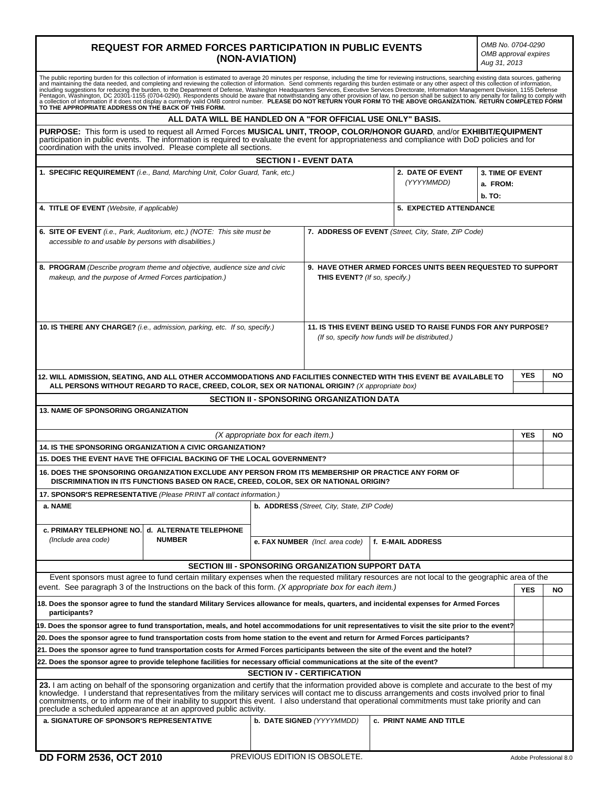# **REQUEST FOR ARMED FORCES PARTICIPATION IN PUBLIC EVENTS (NON-AVIATION)**

*OMB No. 0704-0290 OMB approval expires Aug 31, 2013* 

| The public reporting burden for this collection of information is estimated to average 20 minutes per response, including the time for reviewing instructions, searching existing data sources, gathering<br>and maintaining the<br>including suggestions for reducing the burden, to the Department of Defense, Washington Headquarters Services, Executive Services Directorate, Information Management Division, 1155 Defense<br>Pentagon, Washington, DC 20301-1155 (0704-0290). Respondents should be aware that notwithstanding any other provision of law, no person shall be subject to any penalty for failing to comply with<br>a collection of information if it does not display a currently valid OMB control number. PLEASE DO NOT RETURN YOUR FORM TO THE ABOVE ORGANIZATION. RETURN COMPLETED FORM<br>TO THE APPROPRIATE ADDRESS ON THE BACK OF THIS FORM. |  |                           |                                |                                                   |            |    |
|----------------------------------------------------------------------------------------------------------------------------------------------------------------------------------------------------------------------------------------------------------------------------------------------------------------------------------------------------------------------------------------------------------------------------------------------------------------------------------------------------------------------------------------------------------------------------------------------------------------------------------------------------------------------------------------------------------------------------------------------------------------------------------------------------------------------------------------------------------------------------|--|---------------------------|--------------------------------|---------------------------------------------------|------------|----|
| ALL DATA WILL BE HANDLED ON A "FOR OFFICIAL USE ONLY" BASIS.                                                                                                                                                                                                                                                                                                                                                                                                                                                                                                                                                                                                                                                                                                                                                                                                               |  |                           |                                |                                                   |            |    |
| PURPOSE: This form is used to request all Armed Forces MUSICAL UNIT, TROOP, COLOR/HONOR GUARD, and/or EXHIBIT/EQUIPMENT<br>participation in public events. The information is required to evaluate the event for appropriateness and compliance with DoD policies and for<br>coordination with the units involved. Please complete all sections.                                                                                                                                                                                                                                                                                                                                                                                                                                                                                                                           |  |                           |                                |                                                   |            |    |
| <b>SECTION I - EVENT DATA</b>                                                                                                                                                                                                                                                                                                                                                                                                                                                                                                                                                                                                                                                                                                                                                                                                                                              |  |                           |                                |                                                   |            |    |
| 1. SPECIFIC REQUIREMENT (i.e., Band, Marching Unit, Color Guard, Tank, etc.)                                                                                                                                                                                                                                                                                                                                                                                                                                                                                                                                                                                                                                                                                                                                                                                               |  |                           | 2. DATE OF EVENT               | <b>3. TIME OF EVENT</b><br>(YYYYMMDD)<br>a. FROM: |            |    |
|                                                                                                                                                                                                                                                                                                                                                                                                                                                                                                                                                                                                                                                                                                                                                                                                                                                                            |  |                           |                                | <b>b.</b> TO:                                     |            |    |
| 5. EXPECTED ATTENDANCE                                                                                                                                                                                                                                                                                                                                                                                                                                                                                                                                                                                                                                                                                                                                                                                                                                                     |  |                           |                                |                                                   |            |    |
| 4. TITLE OF EVENT (Website, if applicable)                                                                                                                                                                                                                                                                                                                                                                                                                                                                                                                                                                                                                                                                                                                                                                                                                                 |  |                           |                                |                                                   |            |    |
| <b>6. SITE OF EVENT</b> (i.e., Park, Auditorium, etc.) (NOTE: This site must be<br>7. ADDRESS OF EVENT (Street, City, State, ZIP Code)<br>accessible to and usable by persons with disabilities.)                                                                                                                                                                                                                                                                                                                                                                                                                                                                                                                                                                                                                                                                          |  |                           |                                |                                                   |            |    |
| 9. HAVE OTHER ARMED FORCES UNITS BEEN REQUESTED TO SUPPORT<br>8. PROGRAM (Describe program theme and objective, audience size and civic<br>makeup, and the purpose of Armed Forces participation.)<br>THIS EVENT? (If so, specify.)                                                                                                                                                                                                                                                                                                                                                                                                                                                                                                                                                                                                                                        |  |                           |                                |                                                   |            |    |
| 11. IS THIS EVENT BEING USED TO RAISE FUNDS FOR ANY PURPOSE?<br>10. IS THERE ANY CHARGE? (i.e., admission, parking, etc. If so, specify.)<br>(If so, specify how funds will be distributed.)                                                                                                                                                                                                                                                                                                                                                                                                                                                                                                                                                                                                                                                                               |  |                           |                                |                                                   |            |    |
| 12. WILL ADMISSION, SEATING, AND ALL OTHER ACCOMMODATIONS AND FACILITIES CONNECTED WITH THIS EVENT BE AVAILABLE TO<br>ALL PERSONS WITHOUT REGARD TO RACE, CREED, COLOR, SEX OR NATIONAL ORIGIN? (X appropriate box)                                                                                                                                                                                                                                                                                                                                                                                                                                                                                                                                                                                                                                                        |  |                           |                                | <b>YES</b>                                        | NΟ         |    |
| <b>SECTION II - SPONSORING ORGANIZATION DATA</b>                                                                                                                                                                                                                                                                                                                                                                                                                                                                                                                                                                                                                                                                                                                                                                                                                           |  |                           |                                |                                                   |            |    |
| <b>13. NAME OF SPONSORING ORGANIZATION</b>                                                                                                                                                                                                                                                                                                                                                                                                                                                                                                                                                                                                                                                                                                                                                                                                                                 |  |                           |                                |                                                   |            |    |
| (X appropriate box for each item.)                                                                                                                                                                                                                                                                                                                                                                                                                                                                                                                                                                                                                                                                                                                                                                                                                                         |  |                           |                                |                                                   | <b>YES</b> | NΟ |
| 14. IS THE SPONSORING ORGANIZATION A CIVIC ORGANIZATION?                                                                                                                                                                                                                                                                                                                                                                                                                                                                                                                                                                                                                                                                                                                                                                                                                   |  |                           |                                |                                                   |            |    |
| 15. DOES THE EVENT HAVE THE OFFICIAL BACKING OF THE LOCAL GOVERNMENT?                                                                                                                                                                                                                                                                                                                                                                                                                                                                                                                                                                                                                                                                                                                                                                                                      |  |                           |                                |                                                   |            |    |
| 16. DOES THE SPONSORING ORGANIZATION EXCLUDE ANY PERSON FROM ITS MEMBERSHIP OR PRACTICE ANY FORM OF<br>DISCRIMINATION IN ITS FUNCTIONS BASED ON RACE, CREED, COLOR, SEX OR NATIONAL ORIGIN?                                                                                                                                                                                                                                                                                                                                                                                                                                                                                                                                                                                                                                                                                |  |                           |                                |                                                   |            |    |
| 17. SPONSOR'S REPRESENTATIVE (Please PRINT all contact information.)                                                                                                                                                                                                                                                                                                                                                                                                                                                                                                                                                                                                                                                                                                                                                                                                       |  |                           |                                |                                                   |            |    |
| a. NAME<br><b>b. ADDRESS</b> (Street, City, State, ZIP Code)                                                                                                                                                                                                                                                                                                                                                                                                                                                                                                                                                                                                                                                                                                                                                                                                               |  |                           |                                |                                                   |            |    |
| c. PRIMARY TELEPHONE NO.   d. ALTERNATE TELEPHONE<br><b>NUMBER</b><br>(Include area code)<br>e. FAX NUMBER (Incl. area code)<br>f. E-MAIL ADDRESS                                                                                                                                                                                                                                                                                                                                                                                                                                                                                                                                                                                                                                                                                                                          |  |                           |                                |                                                   |            |    |
|                                                                                                                                                                                                                                                                                                                                                                                                                                                                                                                                                                                                                                                                                                                                                                                                                                                                            |  |                           |                                |                                                   |            |    |
| <b>SECTION III - SPONSORING ORGANIZATION SUPPORT DATA</b>                                                                                                                                                                                                                                                                                                                                                                                                                                                                                                                                                                                                                                                                                                                                                                                                                  |  |                           |                                |                                                   |            |    |
| Event sponsors must agree to fund certain military expenses when the requested military resources are not local to the geographic area of the<br>event. See paragraph 3 of the Instructions on the back of this form. (X appropriate box for each item.)                                                                                                                                                                                                                                                                                                                                                                                                                                                                                                                                                                                                                   |  |                           |                                |                                                   | <b>YES</b> | ΝO |
| 18. Does the sponsor agree to fund the standard Military Services allowance for meals, quarters, and incidental expenses for Armed Forces<br>participants?                                                                                                                                                                                                                                                                                                                                                                                                                                                                                                                                                                                                                                                                                                                 |  |                           |                                |                                                   |            |    |
| 19. Does the sponsor agree to fund transportation, meals, and hotel accommodations for unit representatives to visit the site prior to the event?                                                                                                                                                                                                                                                                                                                                                                                                                                                                                                                                                                                                                                                                                                                          |  |                           |                                |                                                   |            |    |
| 20. Does the sponsor agree to fund transportation costs from home station to the event and return for Armed Forces participants?                                                                                                                                                                                                                                                                                                                                                                                                                                                                                                                                                                                                                                                                                                                                           |  |                           |                                |                                                   |            |    |
| 21. Does the sponsor agree to fund transportation costs for Armed Forces participants between the site of the event and the hotel?                                                                                                                                                                                                                                                                                                                                                                                                                                                                                                                                                                                                                                                                                                                                         |  |                           |                                |                                                   |            |    |
| 22. Does the sponsor agree to provide telephone facilities for necessary official communications at the site of the event?                                                                                                                                                                                                                                                                                                                                                                                                                                                                                                                                                                                                                                                                                                                                                 |  |                           |                                |                                                   |            |    |
| <b>SECTION IV - CERTIFICATION</b>                                                                                                                                                                                                                                                                                                                                                                                                                                                                                                                                                                                                                                                                                                                                                                                                                                          |  |                           |                                |                                                   |            |    |
| 23. I am acting on behalf of the sponsoring organization and certify that the information provided above is complete and accurate to the best of my<br>knowledge. I understand that representatives from the military services will contact me to discuss arrangements and costs involved prior to final<br>commitments, or to inform me of their inability to support this event. I also understand that operational commitments must take priority and can<br>preclude a scheduled appearance at an approved public activity.                                                                                                                                                                                                                                                                                                                                            |  |                           |                                |                                                   |            |    |
| a. SIGNATURE OF SPONSOR'S REPRESENTATIVE                                                                                                                                                                                                                                                                                                                                                                                                                                                                                                                                                                                                                                                                                                                                                                                                                                   |  | b. DATE SIGNED (YYYYMMDD) | <b>c. PRINT NAME AND TITLE</b> |                                                   |            |    |